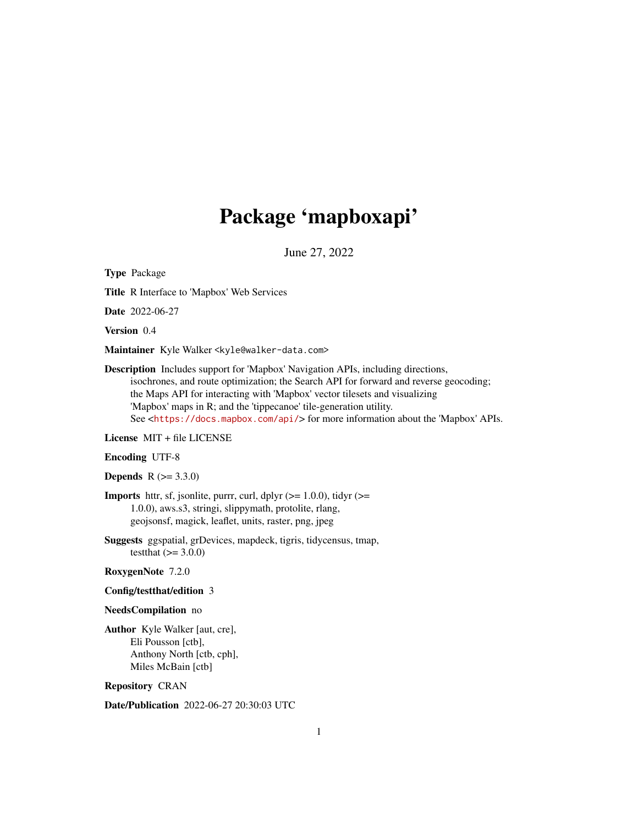# Package 'mapboxapi'

June 27, 2022

<span id="page-0-0"></span>Type Package Title R Interface to 'Mapbox' Web Services Date 2022-06-27 Version 0.4 Maintainer Kyle Walker <kyle@walker-data.com> Description Includes support for 'Mapbox' Navigation APIs, including directions,

isochrones, and route optimization; the Search API for forward and reverse geocoding; the Maps API for interacting with 'Mapbox' vector tilesets and visualizing 'Mapbox' maps in R; and the 'tippecanoe' tile-generation utility. See <<https://docs.mapbox.com/api/>> for more information about the 'Mapbox' APIs.

License MIT + file LICENSE

Encoding UTF-8

**Depends**  $R (= 3.3.0)$ 

**Imports** httr, sf, jsonlite, purrr, curl, dplyr  $(>= 1.0.0)$ , tidyr  $(>=$ 1.0.0), aws.s3, stringi, slippymath, protolite, rlang, geojsonsf, magick, leaflet, units, raster, png, jpeg

Suggests ggspatial, grDevices, mapdeck, tigris, tidycensus, tmap, testthat  $(>= 3.0.0)$ 

RoxygenNote 7.2.0

#### Config/testthat/edition 3

#### NeedsCompilation no

Author Kyle Walker [aut, cre], Eli Pousson [ctb], Anthony North [ctb, cph], Miles McBain [ctb]

Repository CRAN

Date/Publication 2022-06-27 20:30:03 UTC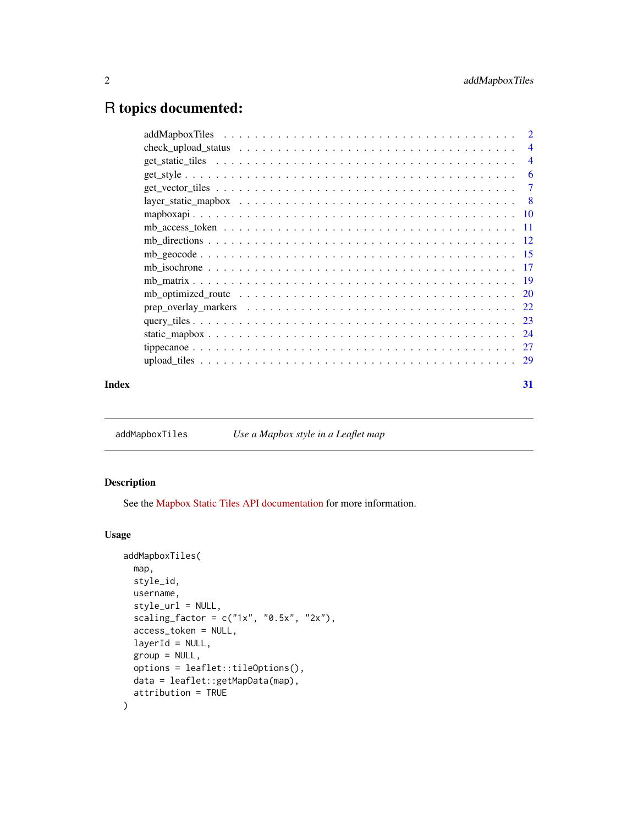# <span id="page-1-0"></span>R topics documented:

|       | -6 |
|-------|----|
|       |    |
|       |    |
|       |    |
|       |    |
|       |    |
|       |    |
|       |    |
|       |    |
|       |    |
|       |    |
|       |    |
|       |    |
|       |    |
|       |    |
| Index | 31 |

addMapboxTiles *Use a Mapbox style in a Leaflet map*

#### Description

See the [Mapbox Static Tiles API documentation](https://docs.mapbox.com/api/maps/static-tiles/) for more information.

```
addMapboxTiles(
 map,
 style_id,
 username,
  style_url = NULL,
  scaling_factor = c("1x", "0.5x", "2x"),access_token = NULL,
  layerId = NULL,group = NULL,
 options = leaflet::tileOptions(),
 data = leaflet::getMapData(map),
  attribution = TRUE
\mathcal{E}
```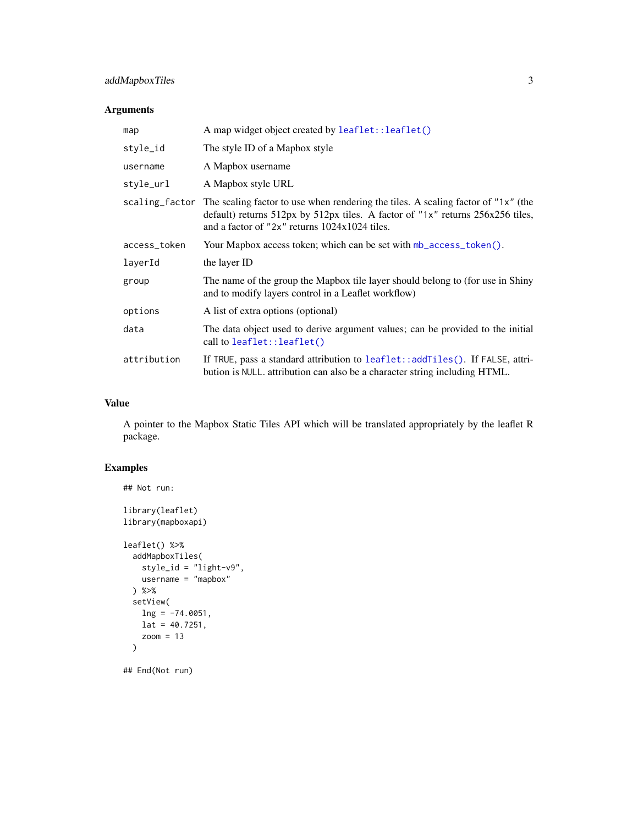### <span id="page-2-0"></span>addMapboxTiles 3

#### Arguments

| map          | A map widget object created by leaflet::leaflet()                                                                                                                                                                                   |
|--------------|-------------------------------------------------------------------------------------------------------------------------------------------------------------------------------------------------------------------------------------|
| style_id     | The style ID of a Mapbox style                                                                                                                                                                                                      |
| username     | A Mapbox username                                                                                                                                                                                                                   |
| style_url    | A Mapbox style URL                                                                                                                                                                                                                  |
|              | scaling_factor The scaling factor to use when rendering the tiles. A scaling factor of "1x" (the<br>default) returns 512px by 512px tiles. A factor of "1x" returns 256x256 tiles,<br>and a factor of "2x" returns 1024x1024 tiles. |
| access_token | Your Mapbox access token; which can be set with mb_access_token().                                                                                                                                                                  |
| layerId      | the layer ID                                                                                                                                                                                                                        |
| group        | The name of the group the Mapbox tile layer should belong to (for use in Shiny<br>and to modify layers control in a Leaflet workflow)                                                                                               |
| options      | A list of extra options (optional)                                                                                                                                                                                                  |
| data         | The data object used to derive argument values; can be provided to the initial<br>call to leaflet::leaflet()                                                                                                                        |
| attribution  | If TRUE, pass a standard attribution to leaflet::addTiles(). If FALSE, attri-<br>bution is NULL. attribution can also be a character string including HTML.                                                                         |

#### Value

A pointer to the Mapbox Static Tiles API which will be translated appropriately by the leaflet R package.

#### Examples

```
## Not run:
library(leaflet)
library(mapboxapi)
leaflet() %>%
 addMapboxTiles(
   style_id = "light-v9",
   username = "mapbox") %>%
 setView(
   lng = -74.0051,lat = 40.7251,zoom = 13
 )
## End(Not run)
```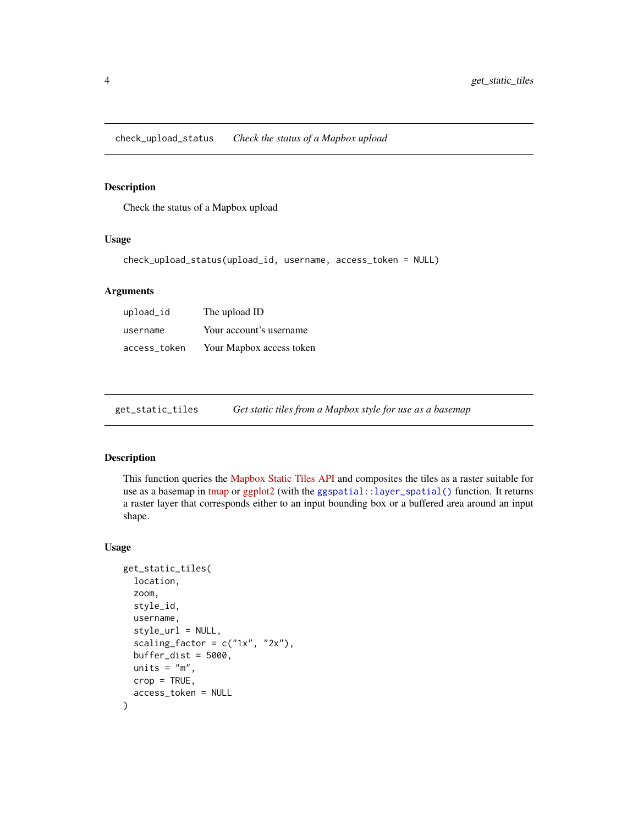<span id="page-3-0"></span>check\_upload\_status *Check the status of a Mapbox upload*

#### Description

Check the status of a Mapbox upload

#### Usage

check\_upload\_status(upload\_id, username, access\_token = NULL)

#### Arguments

| upload_id    | The upload ID            |
|--------------|--------------------------|
| username     | Your account's username  |
| access_token | Your Mapbox access token |

<span id="page-3-1"></span>get\_static\_tiles *Get static tiles from a Mapbox style for use as a basemap*

#### Description

This function queries the [Mapbox Static Tiles API](https://docs.mapbox.com/api/maps/static-tiles/) and composites the tiles as a raster suitable for use as a basemap in [tmap](https://r-tmap.github.io/tmap/) or [ggplot2](https://ggplot2.tidyverse.org/) (with the [ggspatial::layer\\_spatial\(\)](#page-0-0) function. It returns a raster layer that corresponds either to an input bounding box or a buffered area around an input shape.

```
get_static_tiles(
  location,
  zoom,
  style_id,
  username,
  style_url = NULL,
  scaling_factor = c("1x", "2x"),
  buffer\_dist = 5000,
  units = "m",
  crop = TRUE,access_token = NULL
)
```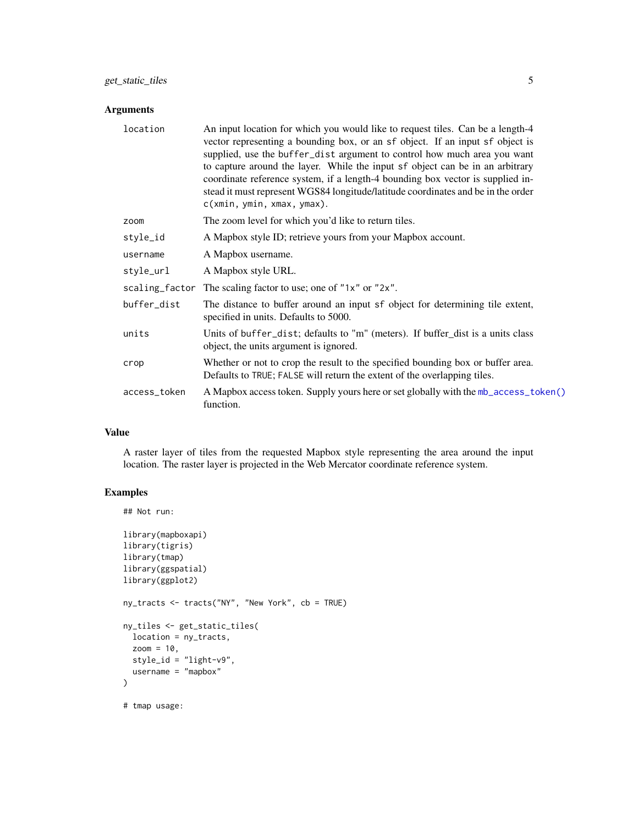#### <span id="page-4-0"></span>Arguments

| location     | An input location for which you would like to request tiles. Can be a length-4<br>vector representing a bounding box, or an sf object. If an input sf object is<br>supplied, use the buffer_dist argument to control how much area you want<br>to capture around the layer. While the input sf object can be in an arbitrary<br>coordinate reference system, if a length-4 bounding box vector is supplied in-<br>stead it must represent WGS84 longitude/latitude coordinates and be in the order<br>c(xmin, ymin, xmax, ymax). |
|--------------|----------------------------------------------------------------------------------------------------------------------------------------------------------------------------------------------------------------------------------------------------------------------------------------------------------------------------------------------------------------------------------------------------------------------------------------------------------------------------------------------------------------------------------|
| zoom         | The zoom level for which you'd like to return tiles.                                                                                                                                                                                                                                                                                                                                                                                                                                                                             |
| style_id     | A Mapbox style ID; retrieve yours from your Mapbox account.                                                                                                                                                                                                                                                                                                                                                                                                                                                                      |
| username     | A Mapbox username.                                                                                                                                                                                                                                                                                                                                                                                                                                                                                                               |
| style_url    | A Mapbox style URL.                                                                                                                                                                                                                                                                                                                                                                                                                                                                                                              |
|              | scaling_factor The scaling factor to use; one of "1x" or "2x".                                                                                                                                                                                                                                                                                                                                                                                                                                                                   |
| buffer_dist  | The distance to buffer around an input sf object for determining tile extent,<br>specified in units. Defaults to 5000.                                                                                                                                                                                                                                                                                                                                                                                                           |
| units        | Units of buffer_dist; defaults to "m" (meters). If buffer_dist is a units class<br>object, the units argument is ignored.                                                                                                                                                                                                                                                                                                                                                                                                        |
| crop         | Whether or not to crop the result to the specified bounding box or buffer area.<br>Defaults to TRUE; FALSE will return the extent of the overlapping tiles.                                                                                                                                                                                                                                                                                                                                                                      |
| access_token | A Mapbox access token. Supply yours here or set globally with the mb_access_token()<br>function.                                                                                                                                                                                                                                                                                                                                                                                                                                 |

#### Value

A raster layer of tiles from the requested Mapbox style representing the area around the input location. The raster layer is projected in the Web Mercator coordinate reference system.

#### Examples

## Not run:

```
library(mapboxapi)
library(tigris)
library(tmap)
library(ggspatial)
library(ggplot2)
ny_tracts <- tracts("NY", "New York", cb = TRUE)
ny_tiles <- get_static_tiles(
 location = ny_tracts,
  zoom = 10,
  style_id = "light-v9",
  username = "mapbox"
)
# tmap usage:
```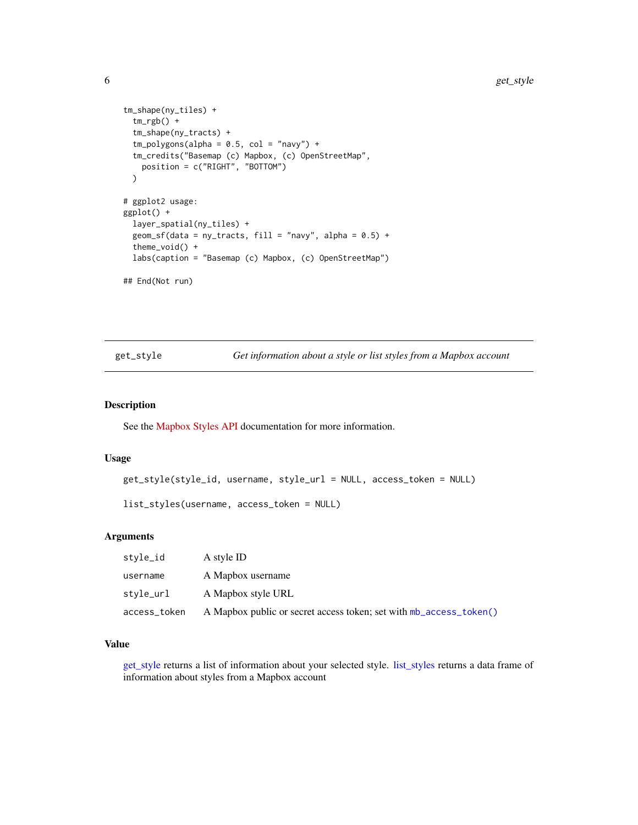```
tm_shape(ny_tiles) +
 tm_rgb() +tm_shape(ny_tracts) +
 tm\_polygons(alpha = 0.5, col = "navy") +tm_credits("Basemap (c) Mapbox, (c) OpenStreetMap",
   position = c("RIGHT", "BOTTOM")
 )
# ggplot2 usage:
ggplot() +
 layer_spatial(ny_tiles) +
 geom_sf(data = ny_tracts, fill = "navy", alpha = 0.5) +
 theme_void() +
 labs(caption = "Basemap (c) Mapbox, (c) OpenStreetMap")
## End(Not run)
```
<span id="page-5-1"></span>get\_style *Get information about a style or list styles from a Mapbox account*

#### <span id="page-5-2"></span>Description

See the [Mapbox Styles API](https://docs.mapbox.com/api/maps/styles/) documentation for more information.

#### Usage

```
get_style(style_id, username, style_url = NULL, access_token = NULL)
```

```
list_styles(username, access_token = NULL)
```
#### Arguments

| stvle_id     | A style ID                                                         |
|--------------|--------------------------------------------------------------------|
| username     | A Mapbox username                                                  |
| stvle_url    | A Mapbox style URL                                                 |
| access_token | A Mapbox public or secret access token; set with mb_access_token() |

#### Value

[get\\_style](#page-5-1) returns a list of information about your selected style. [list\\_styles](#page-5-2) returns a data frame of information about styles from a Mapbox account

<span id="page-5-0"></span>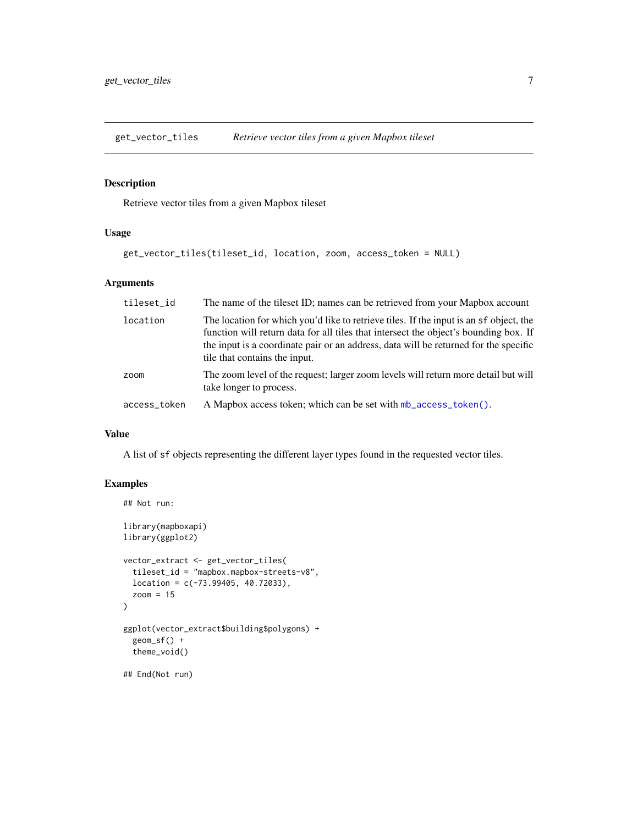<span id="page-6-0"></span>get\_vector\_tiles *Retrieve vector tiles from a given Mapbox tileset*

### Description

Retrieve vector tiles from a given Mapbox tileset

#### Usage

```
get_vector_tiles(tileset_id, location, zoom, access_token = NULL)
```
#### Arguments

| tileset_id   | The name of the tileset ID; names can be retrieved from your Mapbox account                                                                                                                                                                                                                             |
|--------------|---------------------------------------------------------------------------------------------------------------------------------------------------------------------------------------------------------------------------------------------------------------------------------------------------------|
| location     | The location for which you'd like to retrieve tiles. If the input is an sf object, the<br>function will return data for all tiles that intersect the object's bounding box. If<br>the input is a coordinate pair or an address, data will be returned for the specific<br>tile that contains the input. |
| zoom         | The zoom level of the request; larger zoom levels will return more detail but will<br>take longer to process.                                                                                                                                                                                           |
| access_token | A Mapbox access token; which can be set with mb_access_token().                                                                                                                                                                                                                                         |

#### Value

A list of sf objects representing the different layer types found in the requested vector tiles.

#### Examples

```
## Not run:
library(mapboxapi)
library(ggplot2)
vector_extract <- get_vector_tiles(
  tileset_id = "mapbox.mapbox-streets-v8",
  location = c(-73.99405, 40.72033),
  zoom = 15
)
ggplot(vector_extract$building$polygons) +
  geom_sf() +
  theme_void()
## End(Not run)
```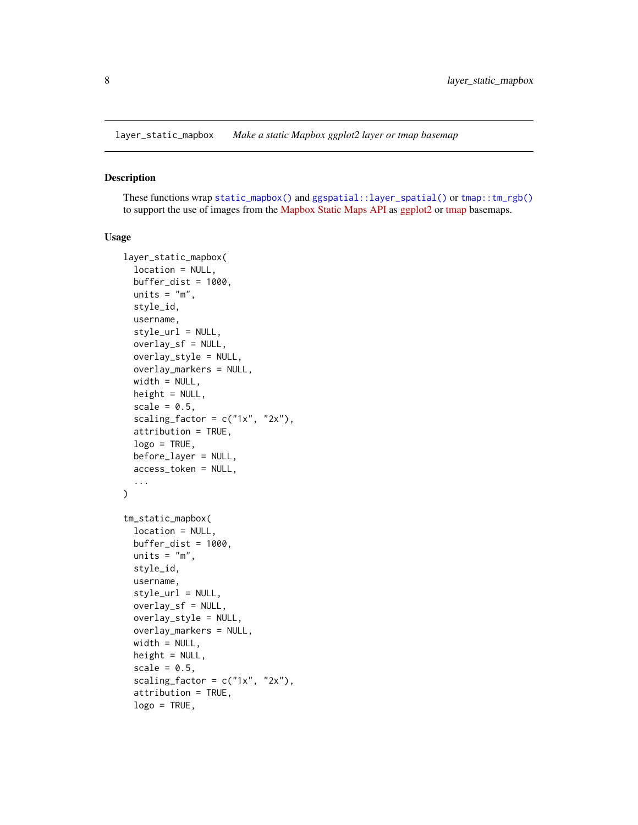<span id="page-7-1"></span><span id="page-7-0"></span>layer\_static\_mapbox *Make a static Mapbox ggplot2 layer or tmap basemap*

#### <span id="page-7-2"></span>Description

These functions wrap [static\\_mapbox\(\)](#page-23-1) and [ggspatial::layer\\_spatial\(\)](#page-0-0) or [tmap::tm\\_rgb\(\)](#page-0-0) to support the use of images from the [Mapbox Static Maps API](https://www.mapbox.com/static-maps) as [ggplot2](https://ggplot2.tidyverse.org/) or [tmap](https://r-tmap.github.io/tmap/) basemaps.

```
layer_static_mapbox(
  location = NULL,
 buffer\_dist = 1000,units = "m",style_id,
  username,
  style_url = NULL,
 overlay_sf = NULL,
 overlay_style = NULL,
 overlay_markers = NULL,
 width = NULL,
 height = NULL,
  scale = 0.5,
  scaling_factor = c("1x", "2x"),
  attribution = TRUE,
  logo = TRUE,before_layer = NULL,
  access_token = NULL,
  ...
\mathcal{E}tm_static_mapbox(
  location = NULL,
 buffer\_dist = 1000,units = "m",
  style_id,
  username,
  style_url = NULL,
  overlay_sf = NULL,
 overlay_style = NULL,
 overlay_markers = NULL,
 width = NULL,height = NULL,scale = 0.5,
  scaling_factor = c("1x", "2x"),attribution = TRUE,
  \log o = \text{TRUE},
```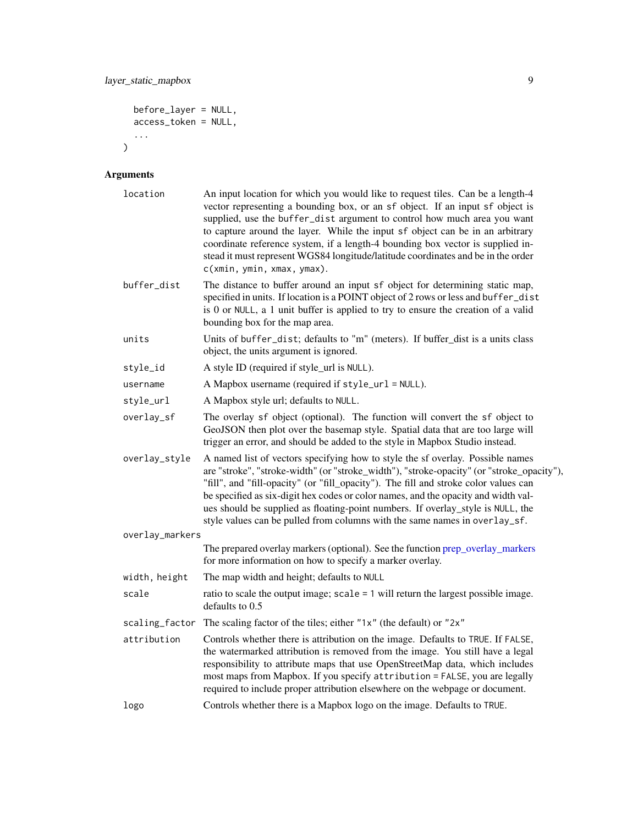```
before_layer = NULL,
 access_token = NULL,
 ...
)
```
## Arguments

| location        | An input location for which you would like to request tiles. Can be a length-4<br>vector representing a bounding box, or an sf object. If an input sf object is<br>supplied, use the buffer_dist argument to control how much area you want<br>to capture around the layer. While the input sf object can be in an arbitrary<br>coordinate reference system, if a length-4 bounding box vector is supplied in-<br>stead it must represent WGS84 longitude/latitude coordinates and be in the order<br>c(xmin, ymin, xmax, ymax). |
|-----------------|----------------------------------------------------------------------------------------------------------------------------------------------------------------------------------------------------------------------------------------------------------------------------------------------------------------------------------------------------------------------------------------------------------------------------------------------------------------------------------------------------------------------------------|
| buffer_dist     | The distance to buffer around an input sf object for determining static map,<br>specified in units. If location is a POINT object of 2 rows or less and buffer_dist<br>is 0 or NULL, a 1 unit buffer is applied to try to ensure the creation of a valid<br>bounding box for the map area.                                                                                                                                                                                                                                       |
| units           | Units of buffer_dist; defaults to "m" (meters). If buffer_dist is a units class<br>object, the units argument is ignored.                                                                                                                                                                                                                                                                                                                                                                                                        |
| style_id        | A style ID (required if style_url is NULL).                                                                                                                                                                                                                                                                                                                                                                                                                                                                                      |
| username        | A Mapbox username (required if style_url = NULL).                                                                                                                                                                                                                                                                                                                                                                                                                                                                                |
| style_url       | A Mapbox style url; defaults to NULL.                                                                                                                                                                                                                                                                                                                                                                                                                                                                                            |
| overlay_sf      | The overlay sf object (optional). The function will convert the sf object to<br>GeoJSON then plot over the basemap style. Spatial data that are too large will<br>trigger an error, and should be added to the style in Mapbox Studio instead.                                                                                                                                                                                                                                                                                   |
| overlay_style   | A named list of vectors specifying how to style the sf overlay. Possible names<br>are "stroke", "stroke-width" (or "stroke_width"), "stroke-opacity" (or "stroke_opacity"),<br>"fill", and "fill-opacity" (or "fill_opacity"). The fill and stroke color values can<br>be specified as six-digit hex codes or color names, and the opacity and width val-<br>ues should be supplied as floating-point numbers. If overlay_style is NULL, the<br>style values can be pulled from columns with the same names in overlay_sf.       |
| overlay_markers |                                                                                                                                                                                                                                                                                                                                                                                                                                                                                                                                  |
|                 | The prepared overlay markers (optional). See the function prep_overlay_markers<br>for more information on how to specify a marker overlay.                                                                                                                                                                                                                                                                                                                                                                                       |
| width, height   | The map width and height; defaults to NULL                                                                                                                                                                                                                                                                                                                                                                                                                                                                                       |
| scale           | ratio to scale the output image; $scale = 1$ will return the largest possible image.<br>defaults to 0.5                                                                                                                                                                                                                                                                                                                                                                                                                          |
|                 | scaling_factor The scaling factor of the tiles; either "1x" (the default) or "2x"                                                                                                                                                                                                                                                                                                                                                                                                                                                |
| attribution     | Controls whether there is attribution on the image. Defaults to TRUE. If FALSE,<br>the watermarked attribution is removed from the image. You still have a legal<br>responsibility to attribute maps that use OpenStreetMap data, which includes<br>most maps from Mapbox. If you specify attribution = FALSE, you are legally<br>required to include proper attribution elsewhere on the webpage or document.                                                                                                                   |
| logo            | Controls whether there is a Mapbox logo on the image. Defaults to TRUE.                                                                                                                                                                                                                                                                                                                                                                                                                                                          |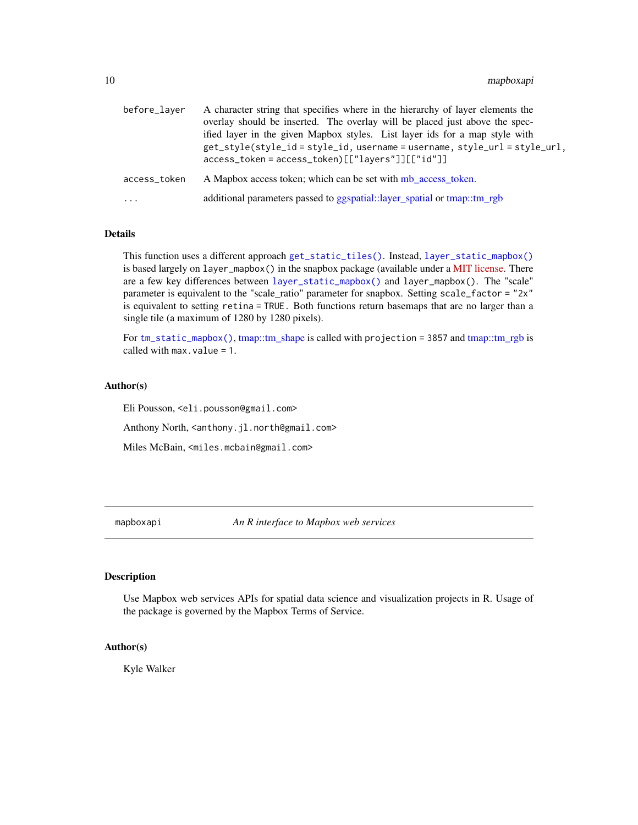<span id="page-9-0"></span>

| before_layer | A character string that specifies where in the hierarchy of layer elements the<br>overlay should be inserted. The overlay will be placed just above the spec-<br>ified layer in the given Mapbox styles. List layer ids for a map style with |
|--------------|----------------------------------------------------------------------------------------------------------------------------------------------------------------------------------------------------------------------------------------------|
|              | get_style(style_id=style_id, username=username, style_url = style_url,<br>$access\_token = access\_token)[['layers"]][['"id"]]$                                                                                                              |
| access_token | A Mapbox access token; which can be set with mb access token.                                                                                                                                                                                |
| $\cdots$     | additional parameters passed to ggspatial::layer_spatial or tmap::tm_rgb                                                                                                                                                                     |

#### Details

This function uses a different approach [get\\_static\\_tiles\(\)](#page-3-1). Instead, [layer\\_static\\_mapbox\(\)](#page-7-1) is based largely on layer\_mapbox() in the snapbox package (available under a [MIT license.](https://github.com/anthonynorth/snapbox/blob/master/LICENSE) There are a few key differences between [layer\\_static\\_mapbox\(\)](#page-7-1) and layer\_mapbox(). The "scale" parameter is equivalent to the "scale ratio" parameter for snapbox. Setting scale\_factor = "2x" is equivalent to setting retina = TRUE. Both functions return basemaps that are no larger than a single tile (a maximum of 1280 by 1280 pixels).

For [tm\\_static\\_mapbox\(\)](#page-7-2), [tmap::tm\\_shape](#page-0-0) is called with projection = 3857 and [tmap::tm\\_rgb](#page-0-0) is called with max.value = 1.

#### Author(s)

Eli Pousson, <eli.pousson@gmail.com>

Anthony North, <anthony.jl.north@gmail.com>

Miles McBain, <miles.mcbain@gmail.com>

mapboxapi *An R interface to Mapbox web services*

#### Description

Use Mapbox web services APIs for spatial data science and visualization projects in R. Usage of the package is governed by the Mapbox Terms of Service.

#### Author(s)

Kyle Walker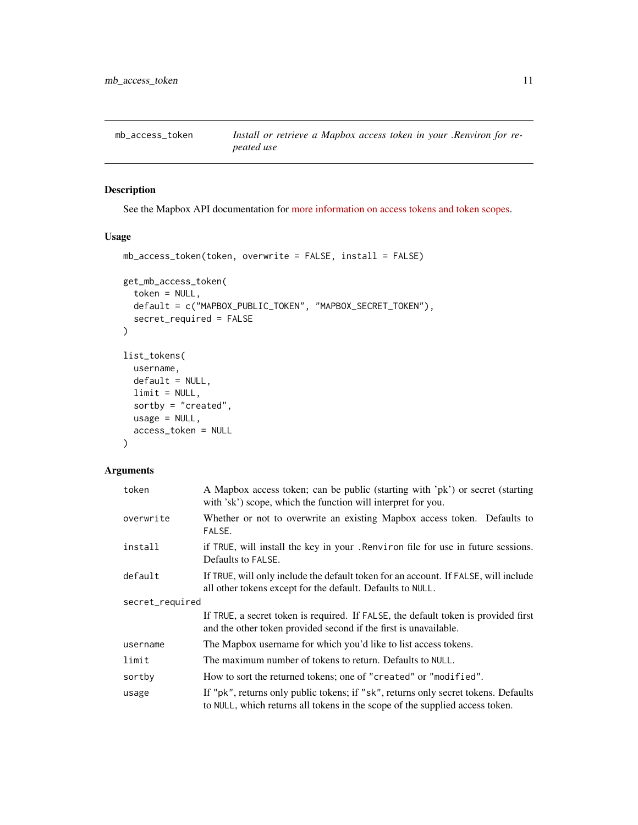<span id="page-10-1"></span><span id="page-10-0"></span>

#### Description

See the Mapbox API documentation for [more information on access tokens and token scopes.](https://docs.mapbox.com/api/overview/#access-tokens-and-token-scopes)

#### Usage

```
mb_access_token(token, overwrite = FALSE, install = FALSE)
get_mb_access_token(
  token = NULL,
 default = c("MAPBOX_PUBLIC_TOKEN", "MAPBOX_SECRET_TOKEN"),
  secret_required = FALSE
)
list_tokens(
  username,
 default = NULL,limit = NULL,
  sortby = "created",
 usage = NULL,
  access_token = NULL
\lambda
```
#### Arguments

| token           | A Mapbox access token; can be public (starting with 'pk') or secret (starting<br>with 'sk') scope, which the function will interpret for you.                      |  |
|-----------------|--------------------------------------------------------------------------------------------------------------------------------------------------------------------|--|
| overwrite       | Whether or not to overwrite an existing Mapbox access token. Defaults to<br>FALSE.                                                                                 |  |
| install         | if TRUE, will install the key in your. Renviron file for use in future sessions.<br>Defaults to FALSE.                                                             |  |
| default         | If TRUE, will only include the default token for an account. If FALSE, will include<br>all other tokens except for the default. Defaults to NULL.                  |  |
| secret_required |                                                                                                                                                                    |  |
|                 | If TRUE, a secret token is required. If FALSE, the default token is provided first<br>and the other token provided second if the first is unavailable.             |  |
| username        | The Mapbox username for which you'd like to list access tokens.                                                                                                    |  |
| limit           | The maximum number of tokens to return. Defaults to NULL.                                                                                                          |  |
| sortby          | How to sort the returned tokens; one of "created" or "modified".                                                                                                   |  |
| usage           | If "pk", returns only public tokens; if "sk", returns only secret tokens. Defaults<br>to NULL, which returns all tokens in the scope of the supplied access token. |  |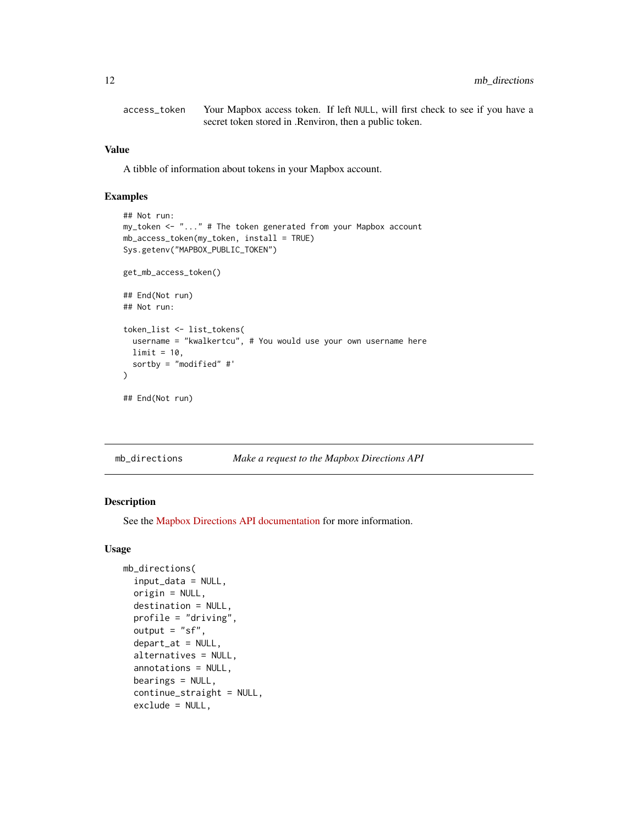<span id="page-11-0"></span>access\_token Your Mapbox access token. If left NULL, will first check to see if you have a secret token stored in .Renviron, then a public token.

#### Value

A tibble of information about tokens in your Mapbox account.

#### Examples

```
## Not run:
my_token <- "..." # The token generated from your Mapbox account
mb_access_token(my_token, install = TRUE)
Sys.getenv("MAPBOX_PUBLIC_TOKEN")
get_mb_access_token()
## End(Not run)
## Not run:
token_list <- list_tokens(
  username = "kwalkertcu", # You would use your own username here
  limit = 10.sortby = "modified" #'
)
## End(Not run)
```

|  | mb_directions |  | Make a request to the Mapbox Directions API |
|--|---------------|--|---------------------------------------------|
|--|---------------|--|---------------------------------------------|

#### Description

See the [Mapbox Directions API documentation](https://docs.mapbox.com/api/navigation/directions/) for more information.

```
mb_directions(
  input_data = NULL,
  origin = NULL,
  destination = NULL,
  profile = "driving",
  output = "sf",depart_at = NULL,alternatives = NULL,
  annotations = NULL,
  bearings = NULL,
  continue_straight = NULL,
  exclude = NULL,
```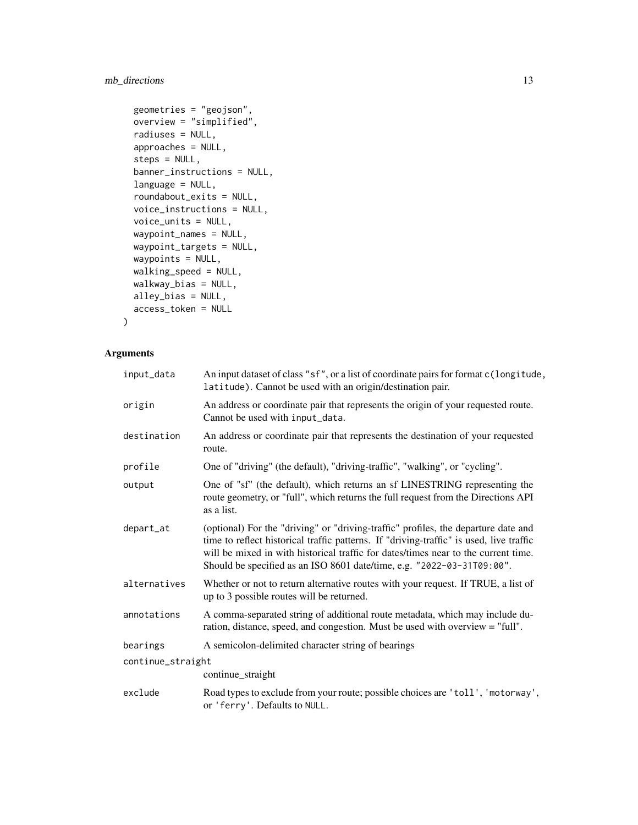### mb\_directions 13

```
geometries = "geojson",
overview = "simplified",
radiuses = NULL,
approaches = NULL,
steps = NULL,
banner_instructions = NULL,
language = NULL,
roundabout_exits = NULL,
voice_instructions = NULL,
voice_units = NULL,
waypoint_names = NULL,
waypoint_targets = NULL,
waypoints = NULL,
walking_speed = NULL,
walkway_bias = NULL,
alley_bias = NULL,
access_token = NULL
```
#### Arguments

 $\mathcal{L}$ 

| input_data        | An input dataset of class "sf", or a list of coordinate pairs for format c(longitude,<br>latitude). Cannot be used with an origin/destination pair.                                                                                                                                                                                           |
|-------------------|-----------------------------------------------------------------------------------------------------------------------------------------------------------------------------------------------------------------------------------------------------------------------------------------------------------------------------------------------|
| origin            | An address or coordinate pair that represents the origin of your requested route.<br>Cannot be used with input_data.                                                                                                                                                                                                                          |
| destination       | An address or coordinate pair that represents the destination of your requested<br>route.                                                                                                                                                                                                                                                     |
| profile           | One of "driving" (the default), "driving-traffic", "walking", or "cycling".                                                                                                                                                                                                                                                                   |
| output            | One of "sf" (the default), which returns an sf LINESTRING representing the<br>route geometry, or "full", which returns the full request from the Directions API<br>as a list.                                                                                                                                                                 |
| depart_at         | (optional) For the "driving" or "driving-traffic" profiles, the departure date and<br>time to reflect historical traffic patterns. If "driving-traffic" is used, live traffic<br>will be mixed in with historical traffic for dates/times near to the current time.<br>Should be specified as an ISO 8601 date/time, e.g. "2022-03-31T09:00". |
| alternatives      | Whether or not to return alternative routes with your request. If TRUE, a list of<br>up to 3 possible routes will be returned.                                                                                                                                                                                                                |
| annotations       | A comma-separated string of additional route metadata, which may include du-<br>ration, distance, speed, and congestion. Must be used with overview = "full".                                                                                                                                                                                 |
| bearings          | A semicolon-delimited character string of bearings                                                                                                                                                                                                                                                                                            |
| continue_straight |                                                                                                                                                                                                                                                                                                                                               |
|                   | continue_straight                                                                                                                                                                                                                                                                                                                             |
| exclude           | Road types to exclude from your route; possible choices are 'toll', 'motorway',<br>or 'ferry'. Defaults to NULL.                                                                                                                                                                                                                              |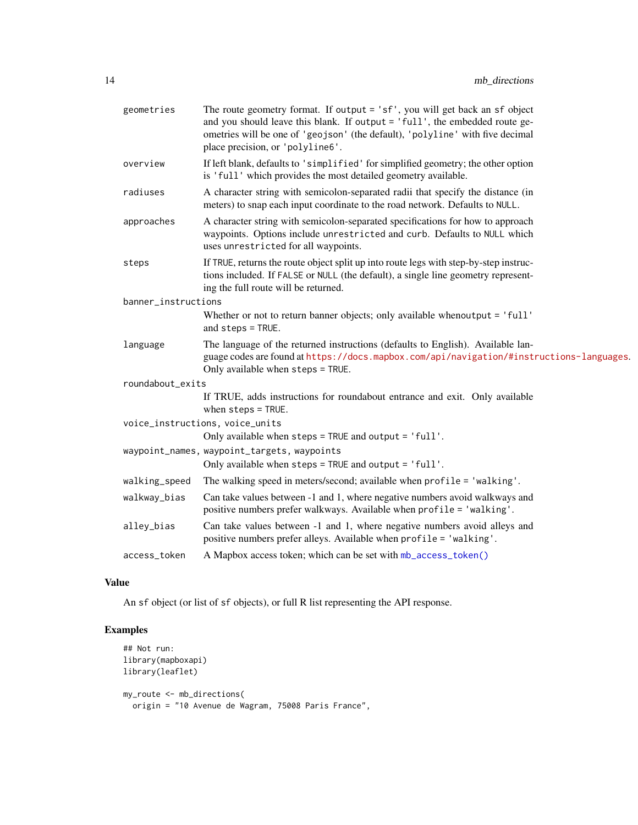<span id="page-13-0"></span>

| geometries          | The route geometry format. If output = 'sf', you will get back an sf object<br>and you should leave this blank. If output = 'full', the embedded route ge-<br>ometries will be one of 'geojson' (the default), 'polyline' with five decimal<br>place precision, or 'polyline6'. |
|---------------------|---------------------------------------------------------------------------------------------------------------------------------------------------------------------------------------------------------------------------------------------------------------------------------|
| overview            | If left blank, defaults to 'simplified' for simplified geometry; the other option<br>is 'full' which provides the most detailed geometry available.                                                                                                                             |
| radiuses            | A character string with semicolon-separated radii that specify the distance (in<br>meters) to snap each input coordinate to the road network. Defaults to NULL.                                                                                                                 |
| approaches          | A character string with semicolon-separated specifications for how to approach<br>waypoints. Options include unrestricted and curb. Defaults to NULL which<br>uses unrestricted for all waypoints.                                                                              |
| steps               | If TRUE, returns the route object split up into route legs with step-by-step instruc-<br>tions included. If FALSE or NULL (the default), a single line geometry represent-<br>ing the full route will be returned.                                                              |
| banner_instructions |                                                                                                                                                                                                                                                                                 |
|                     | Whether or not to return banner objects; only available whenoutput = 'full'<br>and steps = TRUE.                                                                                                                                                                                |
| language            | The language of the returned instructions (defaults to English). Available lan-<br>guage codes are found at https://docs.mapbox.com/api/navigation/#instructions-languages.<br>Only available when steps = TRUE.                                                                |
| roundabout_exits    |                                                                                                                                                                                                                                                                                 |
|                     | If TRUE, adds instructions for roundabout entrance and exit. Only available<br>when $steps = TRUE$ .                                                                                                                                                                            |
|                     | voice_instructions, voice_units                                                                                                                                                                                                                                                 |
|                     | Only available when steps = TRUE and output = 'full'.                                                                                                                                                                                                                           |
|                     | waypoint_names, waypoint_targets, waypoints<br>Only available when steps = TRUE and output = 'full'.                                                                                                                                                                            |
| walking_speed       | The walking speed in meters/second; available when profile = 'walking'.                                                                                                                                                                                                         |
| walkway_bias        | Can take values between -1 and 1, where negative numbers avoid walkways and<br>positive numbers prefer walkways. Available when profile = 'walking'.                                                                                                                            |
| alley_bias          | Can take values between -1 and 1, where negative numbers avoid alleys and<br>positive numbers prefer alleys. Available when profile = 'walking'.                                                                                                                                |
| access_token        | A Mapbox access token; which can be set with mb_access_token()                                                                                                                                                                                                                  |

#### Value

An sf object (or list of sf objects), or full R list representing the API response.

### Examples

```
## Not run:
library(mapboxapi)
library(leaflet)
my_route <- mb_directions(
 origin = "10 Avenue de Wagram, 75008 Paris France",
```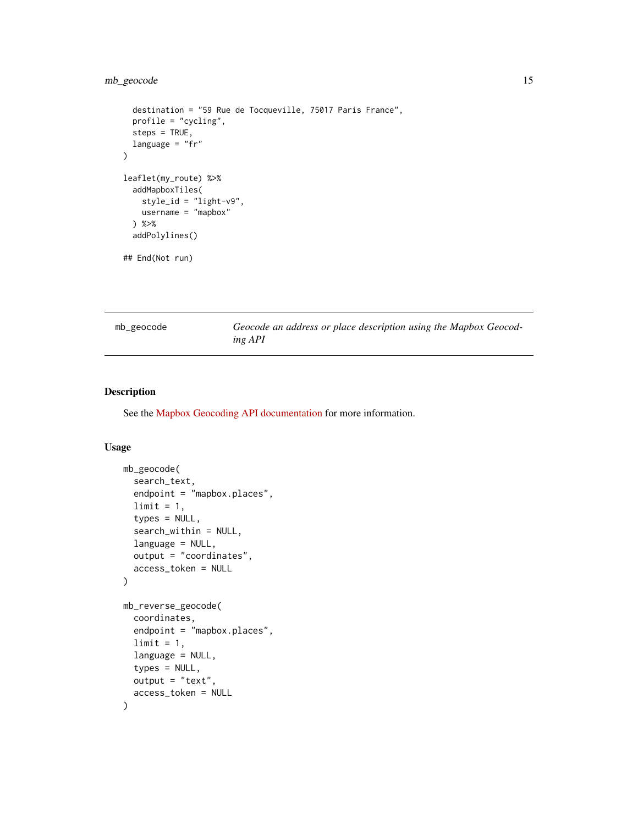#### <span id="page-14-0"></span>mb\_geocode 15

```
destination = "59 Rue de Tocqueville, 75017 Paris France",
 profile = "cycling",
 steps = TRUE,
 language = "fr")
leaflet(my_route) %>%
 addMapboxTiles(
   style_id = "light-v9",
   username = "mapbox"
 ) %>%
 addPolylines()
## End(Not run)
```
mb\_geocode *Geocode an address or place description using the Mapbox Geocoding API*

#### Description

See the [Mapbox Geocoding API documentation](https://docs.mapbox.com/api/search/geocoding/) for more information.

```
mb_geocode(
  search_text,
  endpoint = "mapbox.places",
  limit = 1,
  types = NULL,
  search_within = NULL,
  language = NULL,
  output = "coordinates",
  access_token = NULL
)
mb_reverse_geocode(
  coordinates,
  endpoint = "mapbox.places",
  limit = 1,
  language = NULL,
  types = NULL,output = "text",
  access_token = NULL
)
```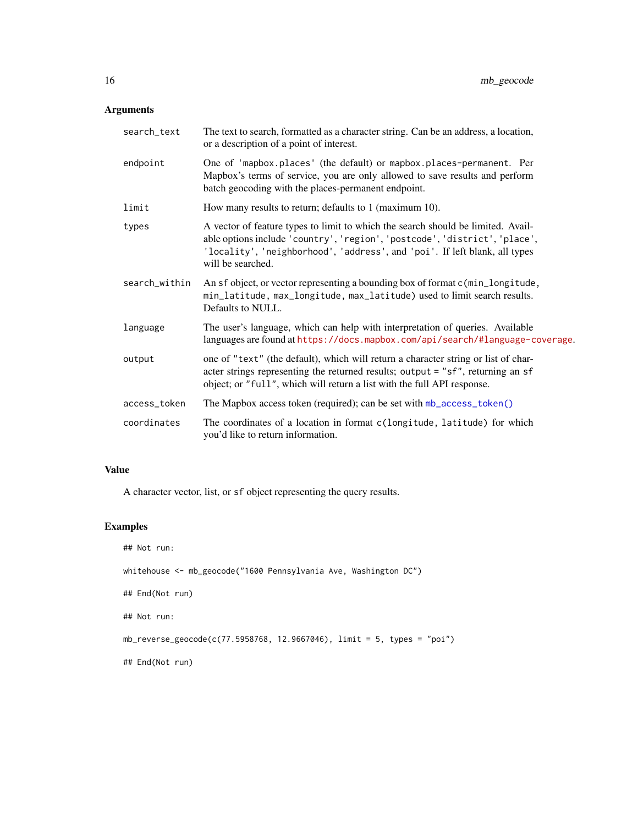#### <span id="page-15-0"></span>Arguments

| search_text   | The text to search, formatted as a character string. Can be an address, a location,<br>or a description of a point of interest.                                                                                                                                   |
|---------------|-------------------------------------------------------------------------------------------------------------------------------------------------------------------------------------------------------------------------------------------------------------------|
| endpoint      | One of 'mapbox.places' (the default) or mapbox.places-permanent. Per<br>Mapbox's terms of service, you are only allowed to save results and perform<br>batch geocoding with the places-permanent endpoint.                                                        |
| limit         | How many results to return; defaults to 1 (maximum 10).                                                                                                                                                                                                           |
| types         | A vector of feature types to limit to which the search should be limited. Avail-<br>able options include 'country', 'region', 'postcode', 'district', 'place',<br>'locality', 'neighborhood', 'address', and 'poi'. If left blank, all types<br>will be searched. |
| search_within | An sf object, or vector representing a bounding box of format c(min_longitude,<br>min_latitude, max_longitude, max_latitude) used to limit search results.<br>Defaults to NULL.                                                                                   |
| language      | The user's language, which can help with interpretation of queries. Available<br>languages are found at https://docs.mapbox.com/api/search/#language-coverage.                                                                                                    |
| output        | one of "text" (the default), which will return a character string or list of char-<br>acter strings representing the returned results; output = "sf", returning an sf<br>object; or "full", which will return a list with the full API response.                  |
| access_token  | The Mapbox access token (required); can be set with mb_access_token()                                                                                                                                                                                             |
| coordinates   | The coordinates of a location in format c(longitude, latitude) for which<br>you'd like to return information.                                                                                                                                                     |

#### Value

A character vector, list, or sf object representing the query results.

### Examples

```
## Not run:
whitehouse <- mb_geocode("1600 Pennsylvania Ave, Washington DC")
## End(Not run)
## Not run:
mb_reverse_geocode(c(77.5958768, 12.9667046), limit = 5, types = "poi")
## End(Not run)
```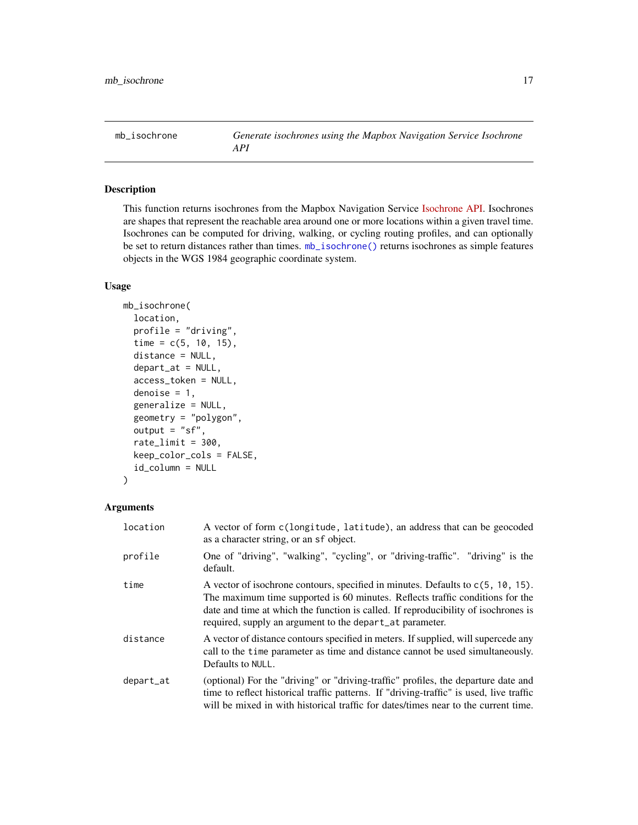<span id="page-16-1"></span><span id="page-16-0"></span>mb\_isochrone *Generate isochrones using the Mapbox Navigation Service Isochrone API*

#### Description

This function returns isochrones from the Mapbox Navigation Service [Isochrone API.](https://docs.mapbox.com/api/navigation/isochrone/) Isochrones are shapes that represent the reachable area around one or more locations within a given travel time. Isochrones can be computed for driving, walking, or cycling routing profiles, and can optionally be set to return distances rather than times. [mb\\_isochrone\(\)](#page-16-1) returns isochrones as simple features objects in the WGS 1984 geographic coordinate system.

#### Usage

```
mb_isochrone(
  location,
  profile = "driving",
  time = c(5, 10, 15),
  distance = NULL,
  depart_at = NULL,access_token = NULL,
  denoise = 1,
  generalize = NULL,
  geometry = "polygon",
  output = "sf",ratelimit = 300,
  keep_color_cols = FALSE,
  id_column = NULL
)
```
#### Arguments

| location  | A vector of form c(longitude, latitude), an address that can be geocoded<br>as a character string, or an sf object.                                                                                                                                                                                                   |
|-----------|-----------------------------------------------------------------------------------------------------------------------------------------------------------------------------------------------------------------------------------------------------------------------------------------------------------------------|
| profile   | One of "driving", "walking", "cycling", or "driving-traffic". "driving" is the<br>default.                                                                                                                                                                                                                            |
| time      | A vector of isochrone contours, specified in minutes. Defaults to $c(5, 10, 15)$ .<br>The maximum time supported is 60 minutes. Reflects traffic conditions for the<br>date and time at which the function is called. If reproducibility of isochrones is<br>required, supply an argument to the depart_at parameter. |
| distance  | A vector of distance contours specified in meters. If supplied, will supercede any<br>call to the time parameter as time and distance cannot be used simultaneously.<br>Defaults to NULL.                                                                                                                             |
| depart_at | (optional) For the "driving" or "driving-traffic" profiles, the departure date and<br>time to reflect historical traffic patterns. If "driving-traffic" is used, live traffic<br>will be mixed in with historical traffic for dates/times near to the current time.                                                   |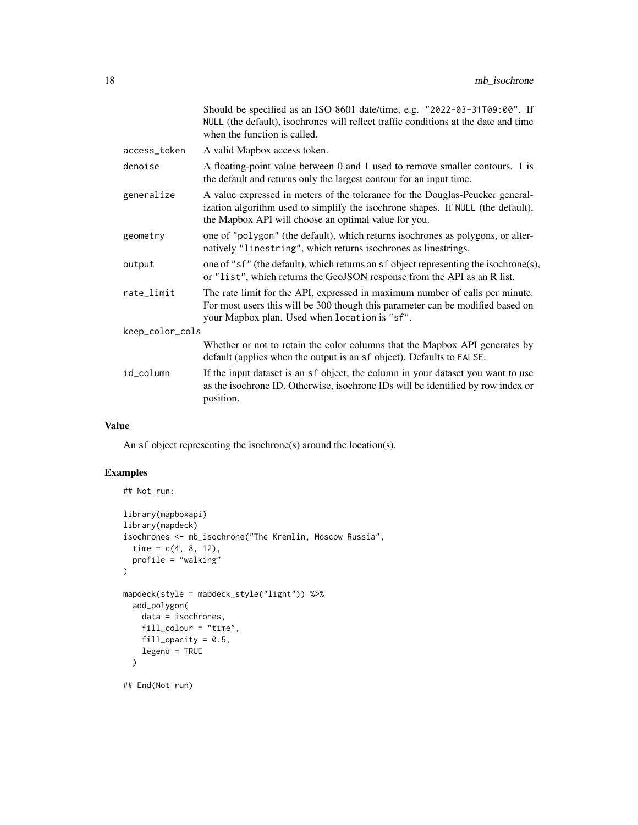|                 |              | Should be specified as an ISO 8601 date/time, e.g. "2022-03-31T09:00". If<br>NULL (the default), isochrones will reflect traffic conditions at the date and time<br>when the function is called.                         |
|-----------------|--------------|--------------------------------------------------------------------------------------------------------------------------------------------------------------------------------------------------------------------------|
|                 | access_token | A valid Mapbox access token.                                                                                                                                                                                             |
|                 | denoise      | A floating-point value between 0 and 1 used to remove smaller contours. 1 is<br>the default and returns only the largest contour for an input time.                                                                      |
|                 | generalize   | A value expressed in meters of the tolerance for the Douglas-Peucker general-<br>ization algorithm used to simplify the isochrone shapes. If NULL (the default),<br>the Mapbox API will choose an optimal value for you. |
|                 | geometry     | one of "polygon" (the default), which returns isochrones as polygons, or alter-<br>natively "linestring", which returns isochrones as linestrings.                                                                       |
|                 | output       | one of "sf" (the default), which returns an sf object representing the isochrone(s),<br>or "list", which returns the GeoJSON response from the API as an R list.                                                         |
|                 | rate_limit   | The rate limit for the API, expressed in maximum number of calls per minute.<br>For most users this will be 300 though this parameter can be modified based on<br>your Mapbox plan. Used when location is "sf".          |
| keep_color_cols |              |                                                                                                                                                                                                                          |
|                 |              | Whether or not to retain the color columns that the Mapbox API generates by<br>default (applies when the output is an sf object). Defaults to FALSE.                                                                     |
|                 | id_column    | If the input dataset is an sf object, the column in your dataset you want to use<br>as the isochrone ID. Otherwise, isochrone IDs will be identified by row index or<br>position.                                        |
|                 |              |                                                                                                                                                                                                                          |

#### Value

An sf object representing the isochrone(s) around the location(s).

#### Examples

```
## Not run:
library(mapboxapi)
library(mapdeck)
isochrones <- mb_isochrone("The Kremlin, Moscow Russia",
  time = c(4, 8, 12),
  profile = "walking"
\mathcal{L}mapdeck(style = mapdeck_style("light")) %>%
  add_polygon(
    data = isochrones,
    fill_colour = "time",
    fill_opacity = 0.5,
    legend = TRUE
  )
## End(Not run)
```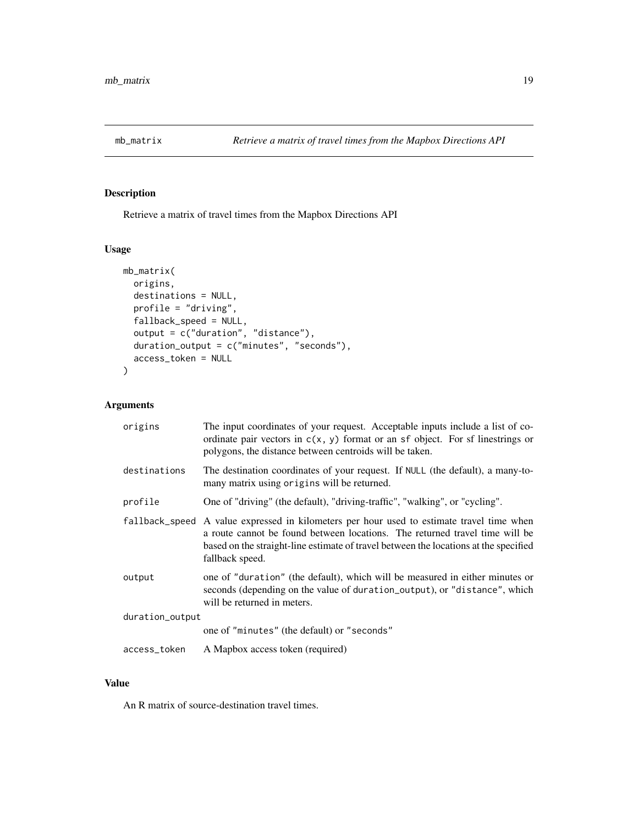<span id="page-18-0"></span>

#### Description

Retrieve a matrix of travel times from the Mapbox Directions API

#### Usage

```
mb_matrix(
 origins,
 destinations = NULL,
 profile = "driving",
  fallback_speed = NULL,
 output = c("duration", "distance"),
  duration_output = c("minutes", "seconds"),
  access_token = NULL
)
```
#### Arguments

| origins         | The input coordinates of your request. Acceptable inputs include a list of co-<br>ordinate pair vectors in $c(x, y)$ format or an sf object. For sf linestrings or<br>polygons, the distance between centroids will be taken.                                                       |
|-----------------|-------------------------------------------------------------------------------------------------------------------------------------------------------------------------------------------------------------------------------------------------------------------------------------|
| destinations    | The destination coordinates of your request. If NULL (the default), a many-to-<br>many matrix using origins will be returned.                                                                                                                                                       |
| profile         | One of "driving" (the default), "driving-traffic", "walking", or "cycling".                                                                                                                                                                                                         |
|                 | fallback_speed A value expressed in kilometers per hour used to estimate travel time when<br>a route cannot be found between locations. The returned travel time will be<br>based on the straight-line estimate of travel between the locations at the specified<br>fallback speed. |
| output          | one of "duration" (the default), which will be measured in either minutes or<br>seconds (depending on the value of duration_output), or "distance", which<br>will be returned in meters.                                                                                            |
| duration_output |                                                                                                                                                                                                                                                                                     |
|                 | one of "minutes" (the default) or "seconds"                                                                                                                                                                                                                                         |
| access_token    | A Mapbox access token (required)                                                                                                                                                                                                                                                    |

#### Value

An R matrix of source-destination travel times.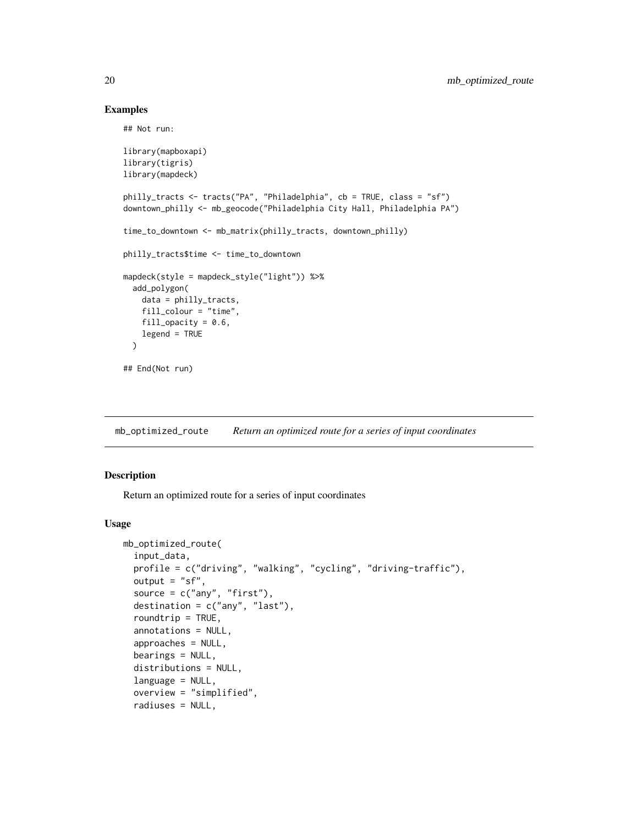#### Examples

## Not run:

```
library(mapboxapi)
library(tigris)
library(mapdeck)
philly_tracts <- tracts("PA", "Philadelphia", cb = TRUE, class = "sf")
downtown_philly <- mb_geocode("Philadelphia City Hall, Philadelphia PA")
time_to_downtown <- mb_matrix(philly_tracts, downtown_philly)
philly_tracts$time <- time_to_downtown
mapdeck(style = mapdeck_style("light")) %>%
  add_polygon(
   data = philly_tracts,
   fill_colour = "time",
   fill_opacity = 0.6,
   legend = TRUE
  \lambda## End(Not run)
```
mb\_optimized\_route *Return an optimized route for a series of input coordinates*

#### Description

Return an optimized route for a series of input coordinates

```
mb_optimized_route(
  input_data,
 profile = c("driving", "walking", "cycling", "driving-traffic"),
 output = "sf",source = c("any", "first"),destination = c("any", "last"),
  roundtrip = TRUE,
  annotations = NULL,
  approaches = NULL,
  bearings = NULL,
  distributions = NULL,
  language = NULL,
  overview = "simplified",
  radiuses = NULL,
```
<span id="page-19-0"></span>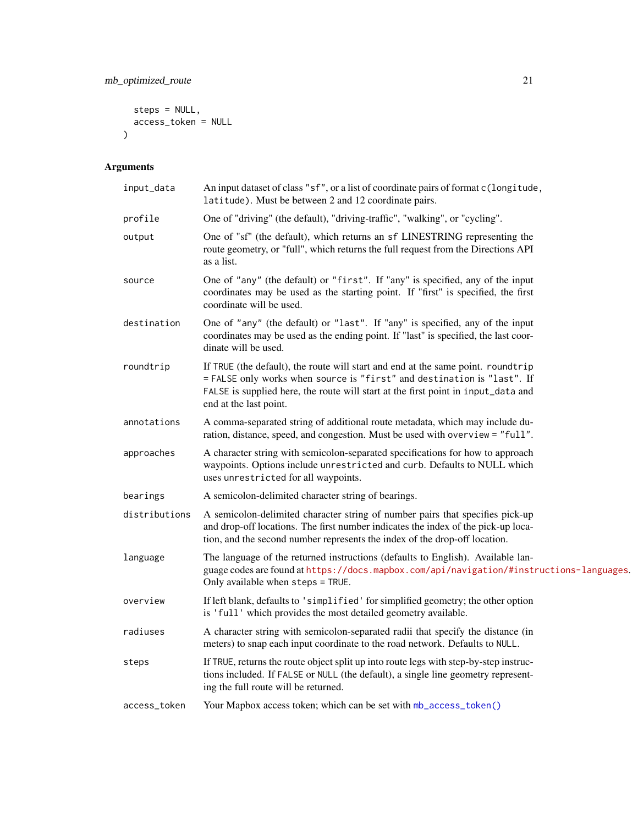```
steps = NULL,
  access_token = NULL
\mathcal{L}
```
## Arguments

| input_data    | An input dataset of class "sf", or a list of coordinate pairs of format c(longitude,<br>latitude). Must be between 2 and 12 coordinate pairs.                                                                                                                              |
|---------------|----------------------------------------------------------------------------------------------------------------------------------------------------------------------------------------------------------------------------------------------------------------------------|
| profile       | One of "driving" (the default), "driving-traffic", "walking", or "cycling".                                                                                                                                                                                                |
| output        | One of "sf" (the default), which returns an sf LINESTRING representing the<br>route geometry, or "full", which returns the full request from the Directions API<br>as a list.                                                                                              |
| source        | One of "any" (the default) or "first". If "any" is specified, any of the input<br>coordinates may be used as the starting point. If "first" is specified, the first<br>coordinate will be used.                                                                            |
| destination   | One of "any" (the default) or "last". If "any" is specified, any of the input<br>coordinates may be used as the ending point. If "last" is specified, the last coor-<br>dinate will be used.                                                                               |
| roundtrip     | If TRUE (the default), the route will start and end at the same point. roundtrip<br>= FALSE only works when source is "first" and destination is "last". If<br>FALSE is supplied here, the route will start at the first point in input_data and<br>end at the last point. |
| annotations   | A comma-separated string of additional route metadata, which may include du-<br>ration, distance, speed, and congestion. Must be used with overview = "full".                                                                                                              |
| approaches    | A character string with semicolon-separated specifications for how to approach<br>waypoints. Options include unrestricted and curb. Defaults to NULL which<br>uses unrestricted for all waypoints.                                                                         |
| bearings      | A semicolon-delimited character string of bearings.                                                                                                                                                                                                                        |
| distributions | A semicolon-delimited character string of number pairs that specifies pick-up<br>and drop-off locations. The first number indicates the index of the pick-up loca-<br>tion, and the second number represents the index of the drop-off location.                           |
| language      | The language of the returned instructions (defaults to English). Available lan-<br>guage codes are found at https://docs.mapbox.com/api/navigation/#instructions-languages.<br>Only available when steps = TRUE.                                                           |
| overview      | If left blank, defaults to 'simplified' for simplified geometry; the other option<br>is 'full' which provides the most detailed geometry available.                                                                                                                        |
| radiuses      | A character string with semicolon-separated radii that specify the distance (in<br>meters) to snap each input coordinate to the road network. Defaults to NULL.                                                                                                            |
| steps         | If TRUE, returns the route object split up into route legs with step-by-step instruc-<br>tions included. If FALSE or NULL (the default), a single line geometry represent-<br>ing the full route will be returned.                                                         |
| access_token  | Your Mapbox access token; which can be set with mb_access_token()                                                                                                                                                                                                          |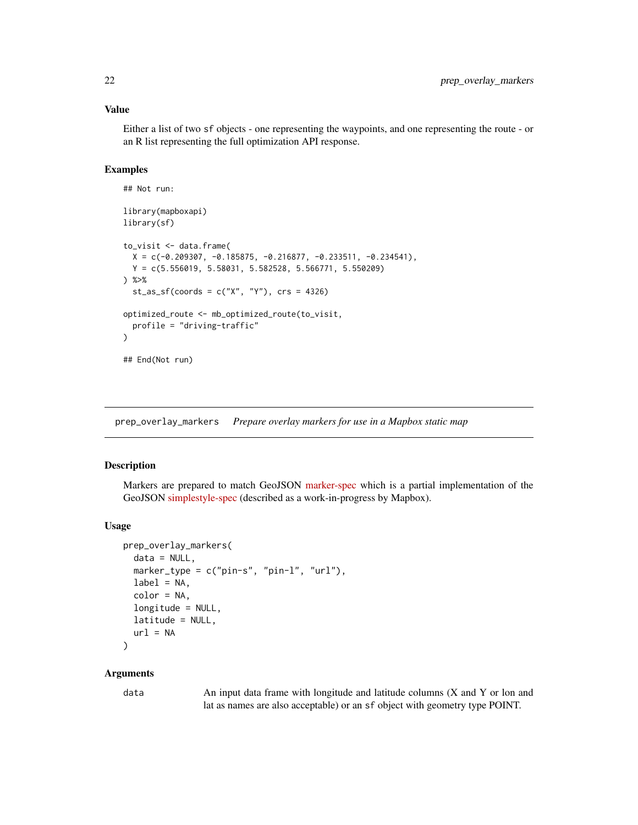#### <span id="page-21-0"></span>Value

Either a list of two sf objects - one representing the waypoints, and one representing the route - or an R list representing the full optimization API response.

#### Examples

```
## Not run:
library(mapboxapi)
library(sf)
to_visit <- data.frame(
  X = c(-0.209307, -0.185875, -0.216877, -0.233511, -0.234541),Y = c(5.556019, 5.58031, 5.582528, 5.566771, 5.550209)
) %>%
  st_as_sf(coords = c("X", "Y"), crs = 4326)
optimized_route <- mb_optimized_route(to_visit,
  profile = "driving-traffic"
\lambda## End(Not run)
```
<span id="page-21-1"></span>prep\_overlay\_markers *Prepare overlay markers for use in a Mapbox static map*

#### Description

Markers are prepared to match GeoJSON [marker-spec](https://github.com/mapbox/mapbox-gl-markers#geojson-marker-spec) which is a partial implementation of the GeoJSON [simplestyle-spec](https://github.com/mapbox/simplestyle-spec/tree/master/1.1.0) (described as a work-in-progress by Mapbox).

#### Usage

```
prep_overlay_markers(
 data = NULL,marker_type = c("pin-s", "pin-l", "url"),
 label = NA,
  color = NA,
  longitude = NULL,
 latitude = NULL,
 url = NA)
```
#### **Arguments**

data An input data frame with longitude and latitude columns (X and Y or lon and lat as names are also acceptable) or an sf object with geometry type POINT.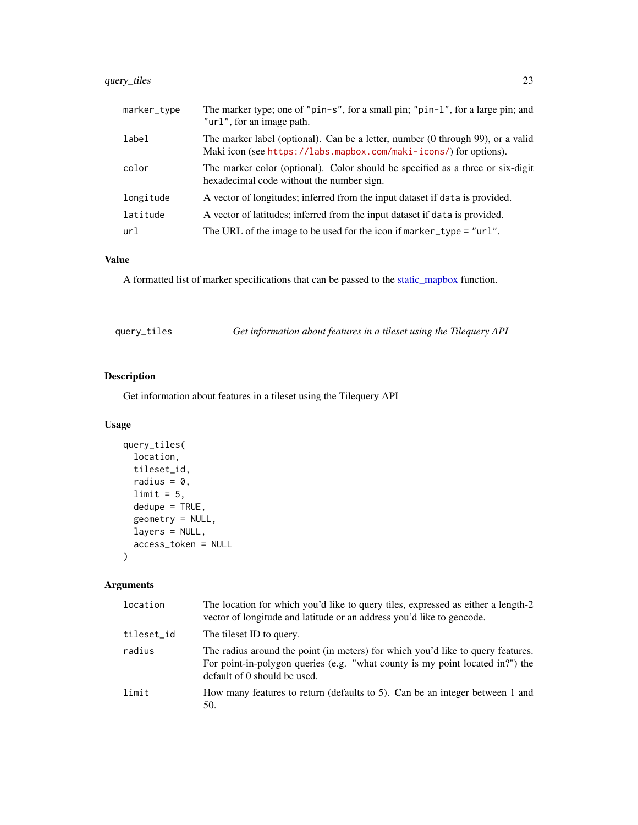### <span id="page-22-0"></span>query\_tiles 23

| marker_type | The marker type; one of "pin-s", for a small pin; "pin-1", for a large pin; and<br>"url", for an image path.                                         |
|-------------|------------------------------------------------------------------------------------------------------------------------------------------------------|
| label       | The marker label (optional). Can be a letter, number (0 through 99), or a valid<br>Maki icon (see https://labs.mapbox.com/maki-icons/) for options). |
| color       | The marker color (optional). Color should be specified as a three or six-digit<br>hexadecimal code without the number sign.                          |
| longitude   | A vector of longitudes; inferred from the input dataset if data is provided.                                                                         |
| latitude    | A vector of latitudes; inferred from the input dataset if data is provided.                                                                          |
| url         | The URL of the image to be used for the icon if $market\_type = "url".$                                                                              |

#### Value

A formatted list of marker specifications that can be passed to the [static\\_mapbox](#page-23-1) function.

| query_tiles | Get information about features in a tileset using the Tilequery API |
|-------------|---------------------------------------------------------------------|
|-------------|---------------------------------------------------------------------|

### Description

Get information about features in a tileset using the Tilequery API

#### Usage

```
query_tiles(
 location,
 tileset_id,
 radius = 0,
 limit = 5,dedupe = TRUE,geometry = NULL,
 layers = NULL,
 access_token = NULL
)
```
### Arguments

| location   | The location for which you'd like to query tiles, expressed as either a length-2<br>vector of longitude and latitude or an address you'd like to geocode.                                        |
|------------|--------------------------------------------------------------------------------------------------------------------------------------------------------------------------------------------------|
| tileset_id | The tileset ID to query.                                                                                                                                                                         |
| radius     | The radius around the point (in meters) for which you'd like to query features.<br>For point-in-polygon queries (e.g. "what county is my point located in?") the<br>default of 0 should be used. |
| limit      | How many features to return (defaults to 5). Can be an integer between 1 and<br>50.                                                                                                              |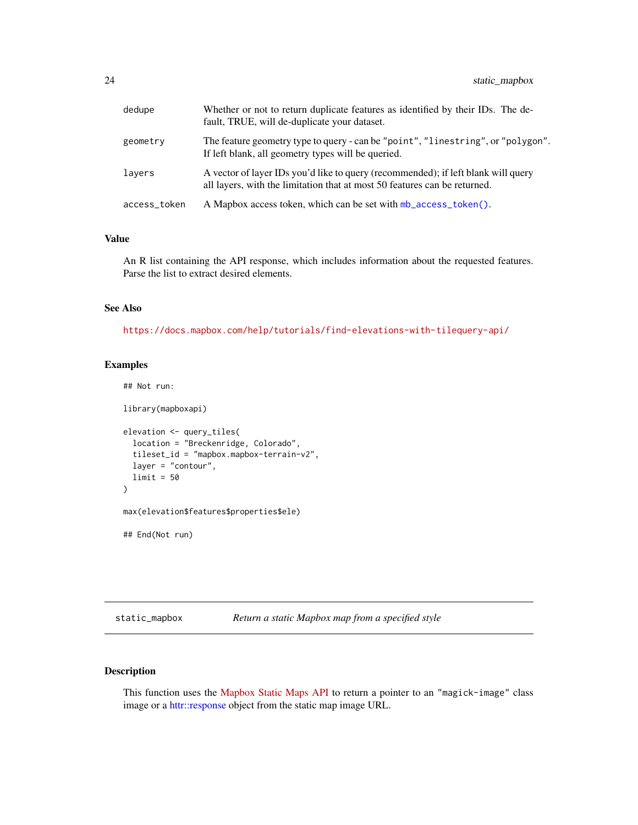<span id="page-23-0"></span>

| dedupe       | Whether or not to return duplicate features as identified by their IDs. The de-<br>fault, TRUE, will de-duplicate your dataset.                                |
|--------------|----------------------------------------------------------------------------------------------------------------------------------------------------------------|
| geometry     | The feature geometry type to query - can be "point", "linestring", or "polygon".<br>If left blank, all geometry types will be queried.                         |
| lavers       | A vector of layer IDs you'd like to query (recommended); if left blank will query<br>all layers, with the limitation that at most 50 features can be returned. |
| access_token | A Mapbox access token, which can be set with mb access token().                                                                                                |

#### Value

An R list containing the API response, which includes information about the requested features. Parse the list to extract desired elements.

#### See Also

<https://docs.mapbox.com/help/tutorials/find-elevations-with-tilequery-api/>

#### Examples

```
## Not run:
library(mapboxapi)
elevation <- query_tiles(
  location = "Breckenridge, Colorado",
  tileset_id = "mapbox.mapbox-terrain-v2",
  layer = "contour",
  limit = 50
)
max(elevation$features$properties$ele)
## End(Not run)
```
<span id="page-23-1"></span>static\_mapbox *Return a static Mapbox map from a specified style*

#### Description

This function uses the [Mapbox Static Maps API](https://www.mapbox.com/static-maps) to return a pointer to an "magick-image" class image or a [httr::response](#page-0-0) object from the static map image URL.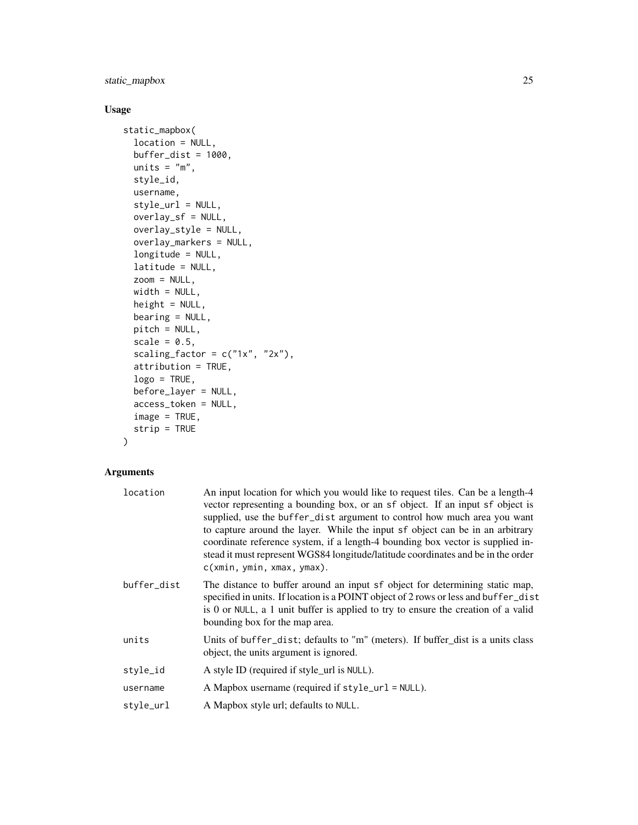static\_mapbox 25

#### Usage

```
static_mapbox(
 location = NULL,
 buffer\_dist = 1000,units = "m",
 style_id,
 username,
  style_url = NULL,
 overlay_sf = NULL,
 overlay_style = NULL,
 overlay_markers = NULL,
  longitude = NULL,
 latitude = NULL,
 zoom = NULL,
 width = NULL,
 height = NULL,bearing = NULL,
 pitch = NULL,
  scale = 0.5,
  scaling_factor = c("1x", "2x"),attribution = TRUE,
 logo = TRUE,before_layer = NULL,
  access_token = NULL,
  image = TRUE,strip = TRUE
)
```
#### Arguments

| location    | An input location for which you would like to request tiles. Can be a length-4<br>vector representing a bounding box, or an sf object. If an input sf object is<br>supplied, use the buffer_dist argument to control how much area you want<br>to capture around the layer. While the input sf object can be in an arbitrary<br>coordinate reference system, if a length-4 bounding box vector is supplied in-<br>stead it must represent WGS84 longitude/latitude coordinates and be in the order<br>c(xmin, ymin, xmax, ymax). |
|-------------|----------------------------------------------------------------------------------------------------------------------------------------------------------------------------------------------------------------------------------------------------------------------------------------------------------------------------------------------------------------------------------------------------------------------------------------------------------------------------------------------------------------------------------|
| buffer_dist | The distance to buffer around an input sf object for determining static map,<br>specified in units. If location is a POINT object of 2 rows or less and buffer_dist<br>is 0 or NULL, a 1 unit buffer is applied to try to ensure the creation of a valid<br>bounding box for the map area.                                                                                                                                                                                                                                       |
| units       | Units of buffer_dist; defaults to "m" (meters). If buffer_dist is a units class<br>object, the units argument is ignored.                                                                                                                                                                                                                                                                                                                                                                                                        |
| style_id    | A style ID (required if style_url is NULL).                                                                                                                                                                                                                                                                                                                                                                                                                                                                                      |
| username    | A Mapbox username (required if style_url = NULL).                                                                                                                                                                                                                                                                                                                                                                                                                                                                                |
| style_url   | A Mapbox style url; defaults to NULL.                                                                                                                                                                                                                                                                                                                                                                                                                                                                                            |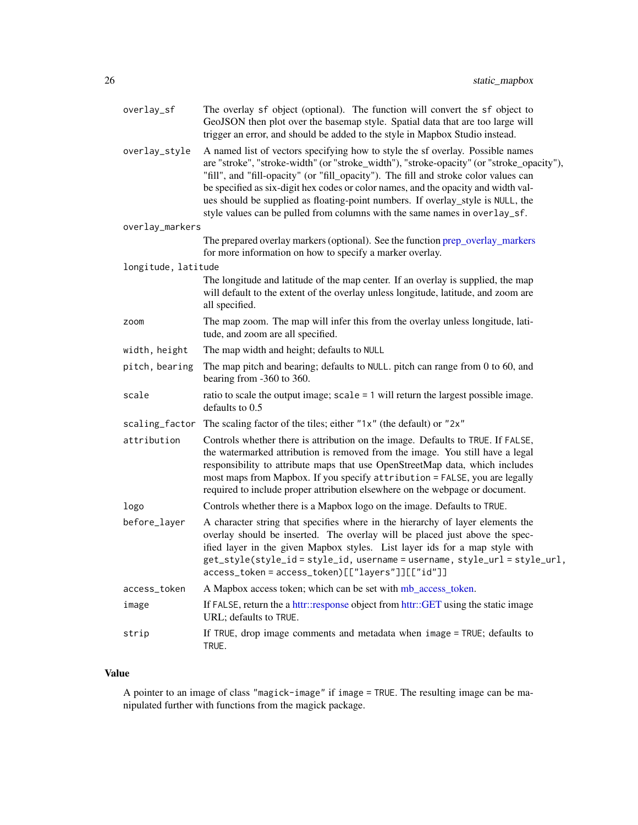<span id="page-25-0"></span>

| overlay_sf          | The overlay sf object (optional). The function will convert the sf object to<br>GeoJSON then plot over the basemap style. Spatial data that are too large will<br>trigger an error, and should be added to the style in Mapbox Studio instead.                                                                                                                                                                                                                                                                             |
|---------------------|----------------------------------------------------------------------------------------------------------------------------------------------------------------------------------------------------------------------------------------------------------------------------------------------------------------------------------------------------------------------------------------------------------------------------------------------------------------------------------------------------------------------------|
| overlay_style       | A named list of vectors specifying how to style the sf overlay. Possible names<br>are "stroke", "stroke-width" (or "stroke_width"), "stroke-opacity" (or "stroke_opacity"),<br>"fill", and "fill-opacity" (or "fill_opacity"). The fill and stroke color values can<br>be specified as six-digit hex codes or color names, and the opacity and width val-<br>ues should be supplied as floating-point numbers. If overlay_style is NULL, the<br>style values can be pulled from columns with the same names in overlay_sf. |
| overlay_markers     |                                                                                                                                                                                                                                                                                                                                                                                                                                                                                                                            |
|                     | The prepared overlay markers (optional). See the function prep_overlay_markers<br>for more information on how to specify a marker overlay.                                                                                                                                                                                                                                                                                                                                                                                 |
| longitude, latitude |                                                                                                                                                                                                                                                                                                                                                                                                                                                                                                                            |
|                     | The longitude and latitude of the map center. If an overlay is supplied, the map<br>will default to the extent of the overlay unless longitude, latitude, and zoom are<br>all specified.                                                                                                                                                                                                                                                                                                                                   |
| zoom                | The map zoom. The map will infer this from the overlay unless longitude, lati-<br>tude, and zoom are all specified.                                                                                                                                                                                                                                                                                                                                                                                                        |
| width, height       | The map width and height; defaults to NULL                                                                                                                                                                                                                                                                                                                                                                                                                                                                                 |
| pitch, bearing      | The map pitch and bearing; defaults to NULL. pitch can range from 0 to 60, and<br>bearing from -360 to 360.                                                                                                                                                                                                                                                                                                                                                                                                                |
| scale               | ratio to scale the output image; $scale = 1$ will return the largest possible image.<br>defaults to 0.5                                                                                                                                                                                                                                                                                                                                                                                                                    |
|                     | scaling_factor The scaling factor of the tiles; either "1x" (the default) or "2x"                                                                                                                                                                                                                                                                                                                                                                                                                                          |
| attribution         | Controls whether there is attribution on the image. Defaults to TRUE. If FALSE,<br>the watermarked attribution is removed from the image. You still have a legal<br>responsibility to attribute maps that use OpenStreetMap data, which includes<br>most maps from Mapbox. If you specify attribution = FALSE, you are legally<br>required to include proper attribution elsewhere on the webpage or document.                                                                                                             |
| logo                | Controls whether there is a Mapbox logo on the image. Defaults to TRUE.                                                                                                                                                                                                                                                                                                                                                                                                                                                    |
| before_layer        | A character string that specifies where in the hierarchy of layer elements the<br>overlay should be inserted. The overlay will be placed just above the spec-<br>ified layer in the given Mapbox styles. List layer ids for a map style with<br>get_style(style_id=style_id, username=username, style_url=style_url,<br>$access\_token = access\_token)[['layers"]][['id"]]$                                                                                                                                               |
| access_token        | A Mapbox access token; which can be set with mb_access_token.                                                                                                                                                                                                                                                                                                                                                                                                                                                              |
| image               | If FALSE, return the a httr::response object from httr::GET using the static image<br>URL; defaults to TRUE.                                                                                                                                                                                                                                                                                                                                                                                                               |
| strip               | If TRUE, drop image comments and metadata when image = TRUE; defaults to<br>TRUE.                                                                                                                                                                                                                                                                                                                                                                                                                                          |

#### Value

A pointer to an image of class "magick-image" if image = TRUE. The resulting image can be manipulated further with functions from the magick package.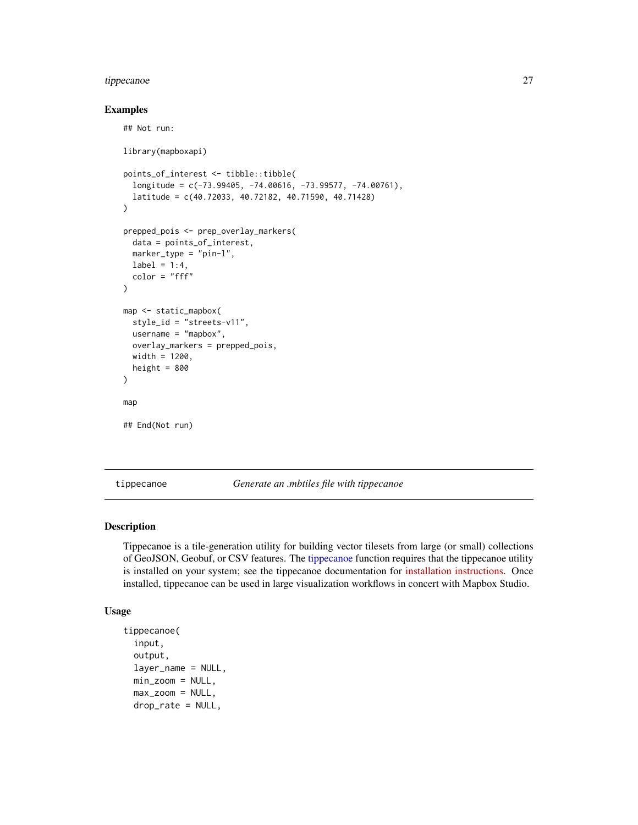#### <span id="page-26-0"></span>tippecanoe 27

#### Examples

```
## Not run:
library(mapboxapi)
points_of_interest <- tibble::tibble(
  longitude = c(-73.99405, -74.00616, -73.99577, -74.00761),
  latitude = c(40.72033, 40.72182, 40.71590, 40.71428)
)
prepped_pois <- prep_overlay_markers(
  data = points_of_interest,
  marker_type = "pin-l",
  label = 1:4,color = "ff")
map <- static_mapbox(
  style_id = "streets-v11",
  username = "mapbox",
  overlay_markers = prepped_pois,
  width = 1200,
  height = 800)
map
## End(Not run)
```
<span id="page-26-1"></span>tippecanoe *Generate an .mbtiles file with tippecanoe*

#### Description

Tippecanoe is a tile-generation utility for building vector tilesets from large (or small) collections of GeoJSON, Geobuf, or CSV features. The [tippecanoe](#page-26-1) function requires that the tippecanoe utility is installed on your system; see the tippecanoe documentation for [installation instructions.](https://github.com/mapbox/tippecanoe#installation) Once installed, tippecanoe can be used in large visualization workflows in concert with Mapbox Studio.

```
tippecanoe(
  input,
  output,
  layer_name = NULL,
 min\_zoom = NULL,max_zzoom = NULL,
 drop_rate = NULL,
```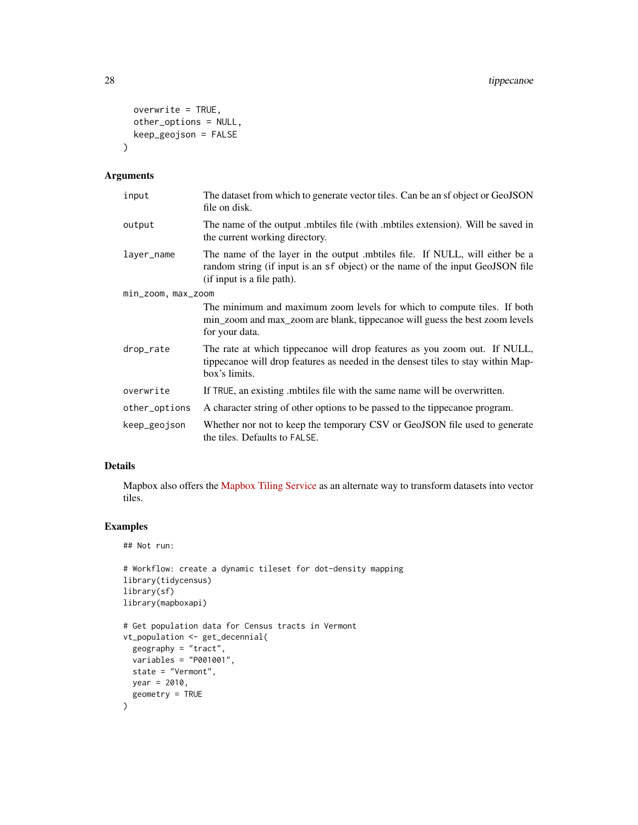```
overwrite = TRUE,
 other_options = NULL,
 keep_geojson = FALSE
\mathcal{L}
```
#### Arguments

| input              | The dataset from which to generate vector tiles. Can be an sf object or GeoJSON<br>file on disk.                                                                                            |  |
|--------------------|---------------------------------------------------------------------------------------------------------------------------------------------------------------------------------------------|--|
| output             | The name of the output must ile (with must ile sextension). Will be saved in<br>the current working directory.                                                                              |  |
| layer_name         | The name of the layer in the output mobiles file. If NULL, will either be a<br>random string (if input is an sf object) or the name of the input GeoJSON file<br>(if input is a file path). |  |
| min_zoom, max_zoom |                                                                                                                                                                                             |  |
|                    | The minimum and maximum zoom levels for which to compute tiles. If both<br>min_zoom and max_zoom are blank, tippecanoe will guess the best zoom levels<br>for your data.                    |  |
| drop_rate          | The rate at which tippecanoe will drop features as you zoom out. If NULL,<br>tippecanoe will drop features as needed in the densest tiles to stay within Map-<br>box's limits.              |  |
| overwrite          | If TRUE, an existing motiles file with the same name will be overwritten.                                                                                                                   |  |
| other_options      | A character string of other options to be passed to the tippecanoe program.                                                                                                                 |  |
| keep_geojson       | Whether nor not to keep the temporary CSV or GeoJSON file used to generate<br>the tiles. Defaults to FALSE.                                                                                 |  |

#### Details

Mapbox also offers the [Mapbox Tiling Service](https://docs.mapbox.com/mapbox-tiling-service/guides/) as an alternate way to transform datasets into vector tiles.

### Examples

## Not run:

```
# Workflow: create a dynamic tileset for dot-density mapping
library(tidycensus)
library(sf)
library(mapboxapi)
# Get population data for Census tracts in Vermont
vt_population <- get_decennial(
 geography = "tract",variables = "P001001",
  state = "Vermont",
  year = 2010,
  geometry = TRUE
\overline{\phantom{a}}
```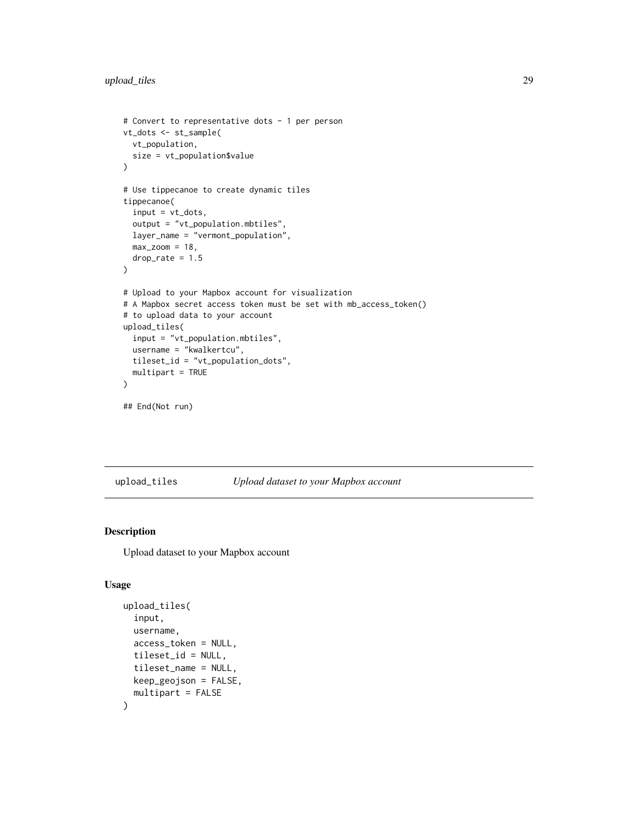```
# Convert to representative dots - 1 per person
vt_dots <- st_sample(
 vt_population,
  size = vt_population$value
\mathcal{L}# Use tippecanoe to create dynamic tiles
tippecanoe(
  input = vt\_dots,output = "vt_population.mbtiles",
  layer_name = "vermont_population",
  max_zzoom = 18,
  drop_rate = 1.5\mathcal{L}# Upload to your Mapbox account for visualization
# A Mapbox secret access token must be set with mb_access_token()
# to upload data to your account
upload_tiles(
  input = "vt_population.mbtiles",
  username = "kwalkertcu",
  tileset_id = "vt_population_dots",
  multipart = TRUE
\mathcal{L}## End(Not run)
```
#### upload\_tiles *Upload dataset to your Mapbox account*

#### Description

Upload dataset to your Mapbox account

```
upload_tiles(
  input,
  username,
  access_token = NULL,
  tileset_id = NULL,
  tileset_name = NULL,
 keep_geojson = FALSE,
  multipart = FALSE
)
```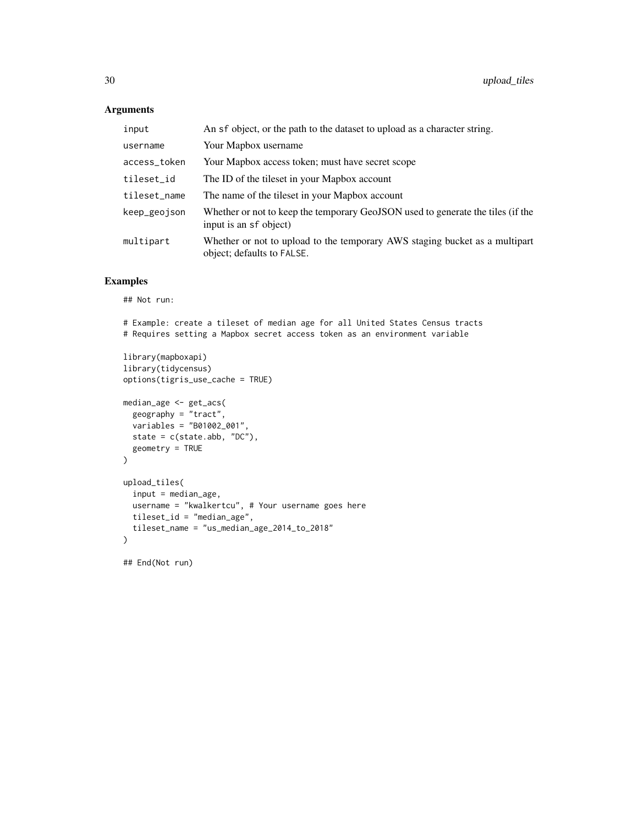#### Arguments

| input        | An sf object, or the path to the dataset to upload as a character string.                                 |
|--------------|-----------------------------------------------------------------------------------------------------------|
| username     | Your Mapbox username                                                                                      |
| access_token | Your Mapbox access token; must have secret scope                                                          |
| tileset_id   | The ID of the tileset in your Mapbox account                                                              |
| tileset_name | The name of the tileset in your Mapbox account                                                            |
| keep_geojson | Whether or not to keep the temporary GeoJSON used to generate the tiles (if the<br>input is an sf object) |
| multipart    | Whether or not to upload to the temporary AWS staging bucket as a multipart<br>object; defaults to FALSE. |

#### Examples

## Not run:

# Example: create a tileset of median age for all United States Census tracts # Requires setting a Mapbox secret access token as an environment variable

```
library(mapboxapi)
library(tidycensus)
options(tigris_use_cache = TRUE)
median_age <- get_acs(
  geography = "tract",variables = "B01002_001",
  state = c(state.abb, "DC"),
  geometry = TRUE
\lambdaupload_tiles(
  input = median_age,
  username = "kwalkertcu", # Your username goes here
  tileset_id = "median_age",
  tileset_name = "us_median_age_2014_to_2018"
\mathcal{L}
```
## End(Not run)